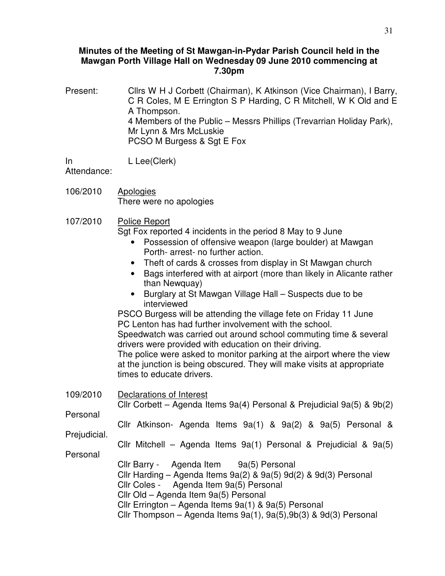## **Minutes of the Meeting of St Mawgan-in-Pydar Parish Council held in the Mawgan Porth Village Hall on Wednesday 09 June 2010 commencing at 7.30pm**

Present: Cllrs W H J Corbett (Chairman), K Atkinson (Vice Chairman), I Barry, C R Coles, M E Errington S P Harding, C R Mitchell, W K Old and E A Thompson. 4 Members of the Public – Messrs Phillips (Trevarrian Holiday Park), Mr Lynn & Mrs McLuskie PCSO M Burgess & Sqt E Fox

In L Lee(Clerk)

Attendance:

- 106/2010 Apologies There were no apologies
- 107/2010 Police Report

Sgt Fox reported 4 incidents in the period 8 May to 9 June

- Possession of offensive weapon (large boulder) at Mawgan Porth- arrest- no further action.
- Theft of cards & crosses from display in St Mawgan church
- Bags interfered with at airport (more than likely in Alicante rather than Newquay)
- Burglary at St Mawgan Village Hall Suspects due to be interviewed

PSCO Burgess will be attending the village fete on Friday 11 June PC Lenton has had further involvement with the school.

Speedwatch was carried out around school commuting time & several drivers were provided with education on their driving.

The police were asked to monitor parking at the airport where the view at the junction is being obscured. They will make visits at appropriate times to educate drivers.

| 109/2010     | Declarations of Interest<br>Cllr Corbett – Agenda Items 9a(4) Personal & Prejudicial 9a(5) & $9b(2)$                                                                                                                                                                                                                                           |  |
|--------------|------------------------------------------------------------------------------------------------------------------------------------------------------------------------------------------------------------------------------------------------------------------------------------------------------------------------------------------------|--|
| Personal     | Cllr Atkinson- Agenda Items $9a(1)$ & $9a(2)$ & $9a(5)$ Personal &                                                                                                                                                                                                                                                                             |  |
| Prejudicial. | Cllr Mitchell – Agenda Items 9a(1) Personal & Prejudicial & 9a(5)                                                                                                                                                                                                                                                                              |  |
| Personal     | Cllr Barry - Agenda Item 9a(5) Personal<br>Cllr Harding – Agenda Items $9a(2)$ & $9a(5)$ $9d(2)$ & $9d(3)$ Personal<br>Cllr Coles - Agenda Item 9a(5) Personal<br>Cllr Old - Agenda Item 9a(5) Personal<br>Cllr Errington - Agenda Items 9a(1) & 9a(5) Personal<br>Cllr Thompson - Agenda Items $9a(1)$ , $9a(5)$ , $9b(3)$ & $9d(3)$ Personal |  |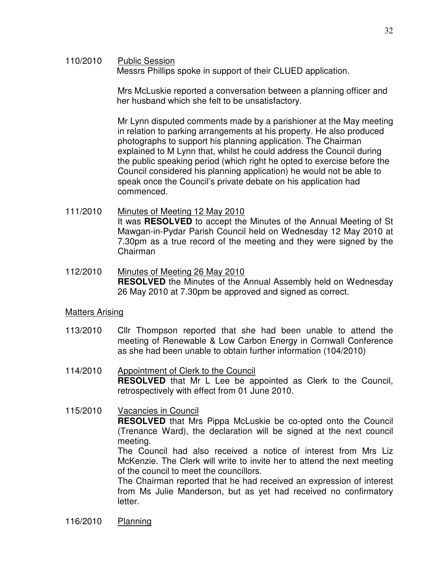110/2010 Public Session

Messrs Phillips spoke in support of their CLUED application.

 Mrs McLuskie reported a conversation between a planning officer and her husband which she felt to be unsatisfactory.

Mr Lynn disputed comments made by a parishioner at the May meeting in relation to parking arrangements at his property. He also produced photographs to support his planning application. The Chairman explained to M Lynn that, whilst he could address the Council during the public speaking period (which right he opted to exercise before the Council considered his planning application) he would not be able to speak once the Council's private debate on his application had commenced.

- 111/2010 Minutes of Meeting 12 May 2010 It was **RESOLVED** to accept the Minutes of the Annual Meeting of St Mawgan-in-Pydar Parish Council held on Wednesday 12 May 2010 at 7.30pm as a true record of the meeting and they were signed by the Chairman
- 112/2010 Minutes of Meeting 26 May 2010 **RESOLVED** the Minutes of the Annual Assembly held on Wednesday 26 May 2010 at 7.30pm be approved and signed as correct.

## Matters Arising

- 113/2010 Cllr Thompson reported that she had been unable to attend the meeting of Renewable & Low Carbon Energy in Cornwall Conference as she had been unable to obtain further information (104/2010)
- 114/2010 Appointment of Clerk to the Council **RESOLVED** that Mr L Lee be appointed as Clerk to the Council, retrospectively with effect from 01 June 2010.

## 115/2010 Vacancies in Council **RESOLVED** that Mrs Pippa McLuskie be co-opted onto the Council (Trenance Ward), the declaration will be signed at the next council meeting. The Council had also received a notice of interest from Mrs Liz McKenzie. The Clerk will write to invite her to attend the next meeting

of the council to meet the councillors. The Chairman reported that he had received an expression of interest from Ms Julie Manderson, but as yet had received no confirmatory letter.

116/2010 Planning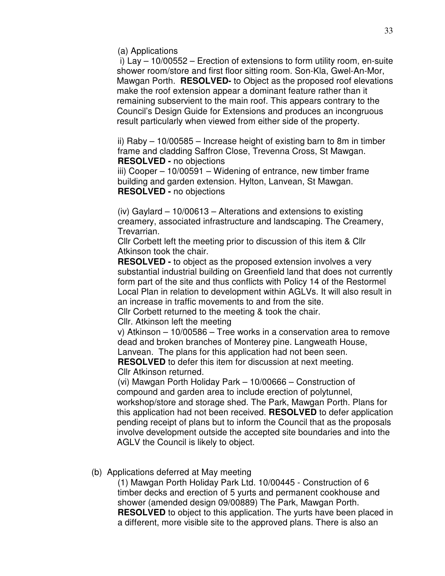(a) Applications

 i) Lay – 10/00552 – Erection of extensions to form utility room, en-suite shower room/store and first floor sitting room. Son-Kla, Gwel-An-Mor, Mawgan Porth. **RESOLVED-** to Object as the proposed roof elevations make the roof extension appear a dominant feature rather than it remaining subservient to the main roof. This appears contrary to the Council's Design Guide for Extensions and produces an incongruous result particularly when viewed from either side of the property.

ii) Raby – 10/00585 – Increase height of existing barn to 8m in timber frame and cladding Saffron Close, Trevenna Cross, St Mawgan. **RESOLVED -** no objections

iii) Cooper – 10/00591 – Widening of entrance, new timber frame building and garden extension. Hylton, Lanvean, St Mawgan. **RESOLVED -** no objections

(iv) Gaylard – 10/00613 – Alterations and extensions to existing creamery, associated infrastructure and landscaping. The Creamery, Trevarrian.

Cllr Corbett left the meeting prior to discussion of this item & Cllr Atkinson took the chair.

**RESOLVED -** to object as the proposed extension involves a very substantial industrial building on Greenfield land that does not currently form part of the site and thus conflicts with Policy 14 of the Restormel Local Plan in relation to development within AGLVs. It will also result in an increase in traffic movements to and from the site.

Cllr Corbett returned to the meeting & took the chair.

Cllr. Atkinson left the meeting

v) Atkinson – 10/00586 – Tree works in a conservation area to remove dead and broken branches of Monterey pine. Langweath House,

Lanvean. The plans for this application had not been seen. **RESOLVED** to defer this item for discussion at next meeting.

Cllr Atkinson returned.

 (vi) Mawgan Porth Holiday Park – 10/00666 – Construction of compound and garden area to include erection of polytunnel, workshop/store and storage shed. The Park, Mawgan Porth. Plans for this application had not been received. **RESOLVED** to defer application pending receipt of plans but to inform the Council that as the proposals involve development outside the accepted site boundaries and into the AGLV the Council is likely to object.

# (b) Applications deferred at May meeting

(1) Mawgan Porth Holiday Park Ltd. 10/00445 - Construction of 6 timber decks and erection of 5 yurts and permanent cookhouse and shower (amended design 09/00889) The Park, Mawgan Porth. **RESOLVED** to object to this application. The yurts have been placed in a different, more visible site to the approved plans. There is also an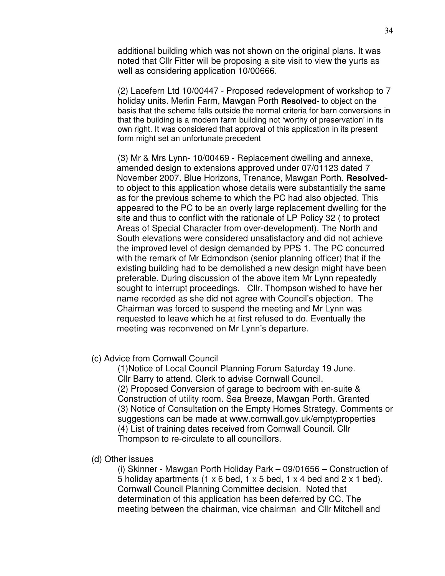additional building which was not shown on the original plans. It was noted that Cllr Fitter will be proposing a site visit to view the yurts as well as considering application 10/00666.

(2) Lacefern Ltd 10/00447 - Proposed redevelopment of workshop to 7 holiday units. Merlin Farm, Mawgan Porth **Resolved-** to object on the basis that the scheme falls outside the normal criteria for barn conversions in that the building is a modern farm building not 'worthy of preservation' in its own right. It was considered that approval of this application in its present form might set an unfortunate precedent

 (3) Mr & Mrs Lynn- 10/00469 - Replacement dwelling and annexe, amended design to extensions approved under 07/01123 dated 7 November 2007. Blue Horizons, Trenance, Mawgan Porth. **Resolved**to object to this application whose details were substantially the same as for the previous scheme to which the PC had also objected. This appeared to the PC to be an overly large replacement dwelling for the site and thus to conflict with the rationale of LP Policy 32 ( to protect Areas of Special Character from over-development). The North and South elevations were considered unsatisfactory and did not achieve the improved level of design demanded by PPS 1. The PC concurred with the remark of Mr Edmondson (senior planning officer) that if the existing building had to be demolished a new design might have been preferable. During discussion of the above item Mr Lynn repeatedly sought to interrupt proceedings. Cllr. Thompson wished to have her name recorded as she did not agree with Council's objection. The Chairman was forced to suspend the meeting and Mr Lynn was requested to leave which he at first refused to do. Eventually the meeting was reconvened on Mr Lynn's departure.

### (c) Advice from Cornwall Council

 (1)Notice of Local Council Planning Forum Saturday 19 June. Cllr Barry to attend. Clerk to advise Cornwall Council. (2) Proposed Conversion of garage to bedroom with en-suite & Construction of utility room. Sea Breeze, Mawgan Porth. Granted (3) Notice of Consultation on the Empty Homes Strategy. Comments or suggestions can be made at www.cornwall.gov.uk/emptyproperties (4) List of training dates received from Cornwall Council. Cllr Thompson to re-circulate to all councillors.

#### (d) Other issues

(i) Skinner - Mawgan Porth Holiday Park – 09/01656 – Construction of 5 holiday apartments  $(1 \times 6 \text{ bed}, 1 \times 5 \text{ bed}, 1 \times 4 \text{ bed}$  and  $2 \times 1 \text{ bed}$ . Cornwall Council Planning Committee decision. Noted that determination of this application has been deferred by CC. The meeting between the chairman, vice chairman and Cllr Mitchell and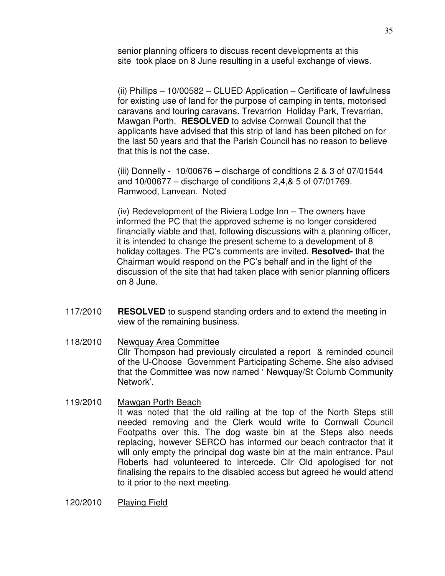senior planning officers to discuss recent developments at this site took place on 8 June resulting in a useful exchange of views.

(ii) Phillips – 10/00582 – CLUED Application – Certificate of lawfulness for existing use of land for the purpose of camping in tents, motorised caravans and touring caravans. Trevarrion Holiday Park, Trevarrian, Mawgan Porth. **RESOLVED** to advise Cornwall Council that the applicants have advised that this strip of land has been pitched on for the last 50 years and that the Parish Council has no reason to believe that this is not the case.

(iii) Donnelly -  $10/00676$  – discharge of conditions 2 & 3 of 07/01544 and 10/00677 – discharge of conditions 2,4,& 5 of 07/01769. Ramwood, Lanvean. Noted

 (iv) Redevelopment of the Riviera Lodge Inn – The owners have informed the PC that the approved scheme is no longer considered financially viable and that, following discussions with a planning officer, it is intended to change the present scheme to a development of 8 holiday cottages. The PC's comments are invited. **Resolved-** that the Chairman would respond on the PC's behalf and in the light of the discussion of the site that had taken place with senior planning officers on 8 June.

- 117/2010 **RESOLVED** to suspend standing orders and to extend the meeting in view of the remaining business.
- 118/2010 Newquay Area Committee Cllr Thompson had previously circulated a report & reminded council of the U-Choose Government Participating Scheme. She also advised that the Committee was now named ' Newquay/St Columb Community Network'.
- 119/2010 Mawgan Porth Beach It was noted that the old railing at the top of the North Steps still needed removing and the Clerk would write to Cornwall Council Footpaths over this. The dog waste bin at the Steps also needs replacing, however SERCO has informed our beach contractor that it will only empty the principal dog waste bin at the main entrance. Paul Roberts had volunteered to intercede. Cllr Old apologised for not finalising the repairs to the disabled access but agreed he would attend to it prior to the next meeting.
- 120/2010 Playing Field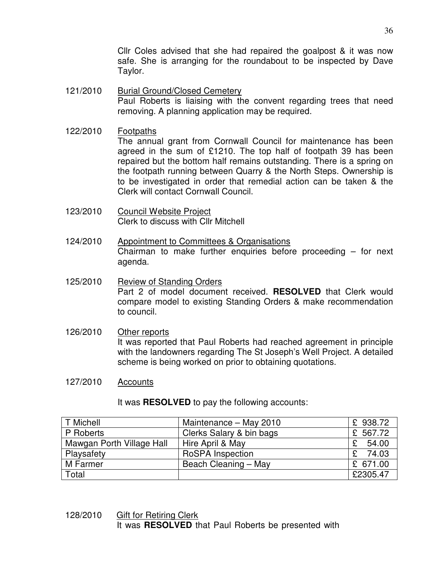Cllr Coles advised that she had repaired the goalpost & it was now safe. She is arranging for the roundabout to be inspected by Dave Taylor.

- 121/2010 Burial Ground/Closed Cemetery Paul Roberts is liaising with the convent regarding trees that need removing. A planning application may be required.
- 122/2010 Footpaths The annual grant from Cornwall Council for maintenance has been agreed in the sum of £1210. The top half of footpath 39 has been repaired but the bottom half remains outstanding. There is a spring on the footpath running between Quarry & the North Steps. Ownership is to be investigated in order that remedial action can be taken & the Clerk will contact Cornwall Council.
- 123/2010 Council Website Project Clerk to discuss with Cllr Mitchell
- 124/2010 Appointment to Committees & Organisations Chairman to make further enquiries before proceeding – for next agenda.
- 125/2010 Review of Standing Orders Part 2 of model document received. **RESOLVED** that Clerk would compare model to existing Standing Orders & make recommendation to council.
- 126/2010 Other reports It was reported that Paul Roberts had reached agreement in principle with the landowners regarding The St Joseph's Well Project. A detailed scheme is being worked on prior to obtaining quotations.
- 127/2010 Accounts

It was **RESOLVED** to pay the following accounts:

| T Michell                 | Maintenance - May 2010   | £ 938.72 |
|---------------------------|--------------------------|----------|
| P Roberts                 | Clerks Salary & bin bags | £ 567.72 |
| Mawgan Porth Village Hall | Hire April & May         | 54.00    |
| Playsafety                | <b>RoSPA</b> Inspection  | 74.03    |
| M Farmer                  | Beach Cleaning - May     | £ 671.00 |
| Total                     |                          | £2305.47 |

## 128/2010 Gift for Retiring Clerk It was **RESOLVED** that Paul Roberts be presented with